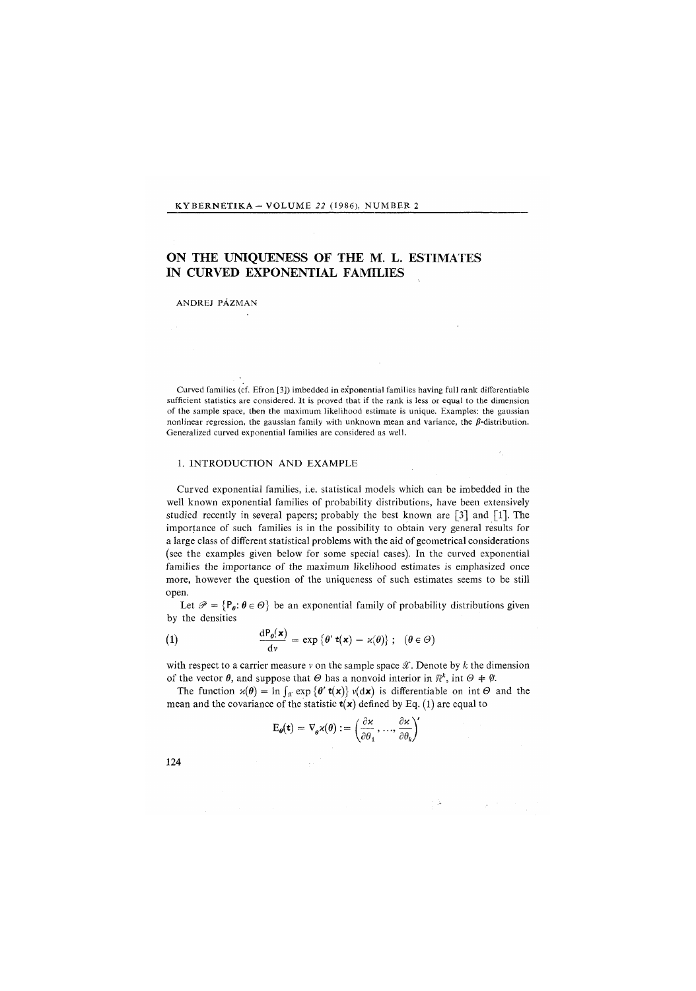#### KYBERNETIKA - VOLUME 22 (1986), NUMBER 2

# ON THE UNIQUENESS OF THE M. L. ESTIMATES IN CURVED EXPONENTIAL FAMILIES

#### ANDREJ PÁZMAN

Curved families (cf. Efron [3]) imbedded in exponential families having full rank differentiable sufficient statistics are considered. It is proved that if the rank is less or equal to the dimension of the sample space, then the maximum likelihood estimate is unique. Examples: the gaussian nonlinear regression, the gaussian family with unknown mean and variance, the  $\beta$ -distribution. Generalized curved exponential families are considered as well.

### 1. INTRODUCTION AND EXAMPLE

Curved exponential families, i.e. statistical models which can be imbedded in the well known exponential families of probability distributions, have been extensively studied recently in several papers; probably the best known are [3] and [1]. The importance of such families is in the possibility to obtain very general results for a large class of different statistical problems with the aid of geometrical considerations (see the examples given below for some special cases). In the curved exponential families the importance of the maximum likelihood estimates is emphasized once more, however the question of the uniqueness of such estimates seems to be still open.

Let  $\mathcal{P} = \{P_{\theta}: \theta \in \Theta\}$  be an exponential family of probability distributions given by the densities

(1) 
$$
\frac{dP_{\theta}(\mathbf{x})}{d\nu} = \exp \{ \theta' \mathbf{t}(\mathbf{x}) - \varkappa(\theta) \}; \quad (\theta \in \Theta)
$$

with respect to a carrier measure v on the sample space *9E.* Denote by *k* the dimension of the vector  $\theta$ , and suppose that  $\Theta$  has a nonvoid interior in  $\mathbb{R}^k$ , int  $\Theta \neq \emptyset$ .

The function  $x(\theta) = \ln \int_{\mathcal{X}} \exp \{ \theta' \, t(x) \} v(dx)$  is differentiable on int  $\Theta$  and the mean and the covariance of the statistic  $t(x)$  defined by Eq. (1) are equal to

$$
\mathrm{E}_{\boldsymbol{\theta}}(\mathbf{t}) = \nabla_{\boldsymbol{\theta}} \varkappa(\boldsymbol{\theta}) := \left(\frac{\partial \varkappa}{\partial \theta_1}, \dots, \frac{\partial \varkappa}{\partial \theta_k}\right)'
$$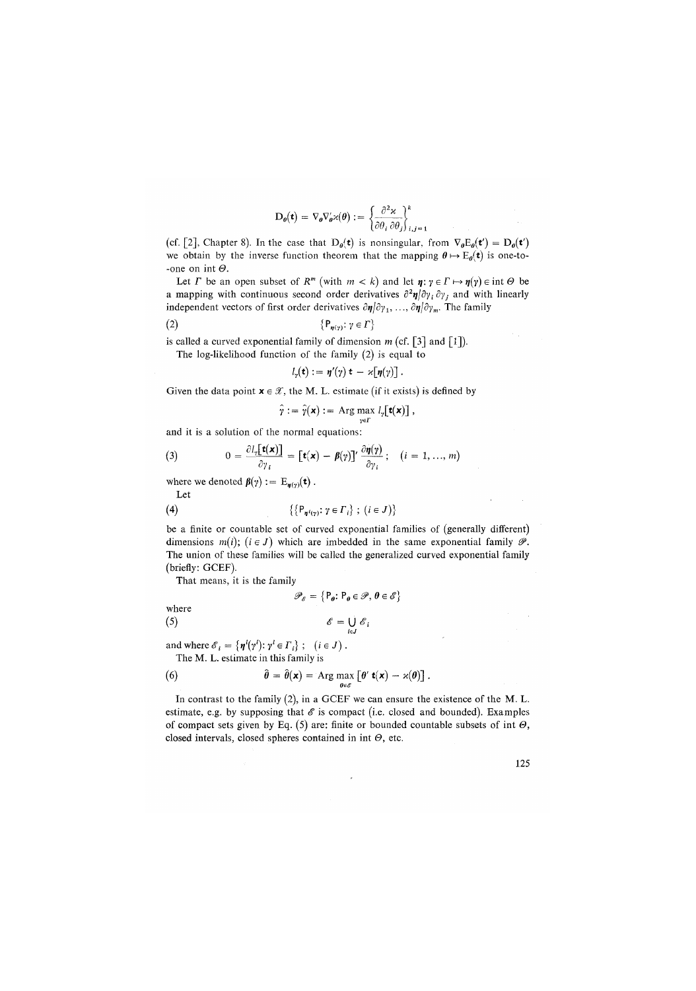$$
\mathbf{D}_{\theta}(\mathbf{t}) = \nabla_{\theta} \nabla'_{\theta} \varkappa(\theta) := \left\{ \frac{\partial^2 \varkappa}{\partial \theta, \partial \theta} \right\}_{\theta \in \mathbb{R}}
$$

(cf. [2], Chapter 8). In the case that  $D_{\theta}(t)$  is nonsingular, from  $\nabla_{\theta}E_{\theta}(t') = D_{\theta}(t')$ we obtain by the inverse function theorem that the mapping  $\theta \mapsto E_{\theta}(\tau)$  is one-to--one on int  $\Theta$ .

Let *I* be an open subset of  $R^m$  (with  $m < k$ ) and let  $\eta : \gamma \in \Gamma \mapsto \eta(\gamma) \in \text{int } \Theta$  be a mapping with continuous second order derivatives  $\partial^2 \eta / \partial y_i / \partial y_j$  and with linearly independent vectors of first order derivatives  $\partial \eta / \partial y_1, \ldots, \partial \eta / \partial y_m$ . The family

$$
\{P_{\eta(\gamma)}\colon \gamma \in \Gamma\}
$$

is called a curved exponential family of dimension *m* (cf. [3] and [1]).

The log-likelihood function of the family (2) is equal to

$$
l_{\gamma}(\mathbf{t}) := \eta'(\gamma) \mathbf{t} - \varkappa[\eta(\gamma)].
$$

Given the data point  $x \in \mathcal{X}$ , the M. L. estimate (if it exists) is defined by

$$
\hat{\gamma} := \hat{\gamma}(\mathbf{x}) := \operatorname{Arg} \max_{\mathbf{y} \in \Gamma} l_{\gamma}[\mathbf{t}(\mathbf{x})],
$$

and it is a solution of the normal equations:

(3) 
$$
0 = \frac{\partial l_r[\mathbf{t}(\mathbf{x})]}{\partial \gamma_i} = [\mathbf{t}(\mathbf{x}) - \boldsymbol{\beta}(\gamma)]' \frac{\partial \boldsymbol{\eta}(\gamma)}{\partial \gamma_i}; \quad (i = 1, ..., m)
$$

where we denoted  $\beta(\gamma) := \mathbb{E}_{\boldsymbol{\eta}(\gamma)}(\mathbf{t})$ .

Let

(4) 
$$
\{\{P_{\eta^{i}(\gamma)} : \gamma \in \Gamma_{i}\} ; (i \in J)\}
$$

be a finite or countable set of curved exponential families of (generally different) dimensions  $m(i)$ ;  $(i \in J)$  which are imbedded in the same exponential family  $\mathscr{P}$ . The union of these families will be called the generalized curved exponential family (briefly: GCEF).

That means, it is the family

$$
\mathscr{P}_{\mathscr{E}} = \big\{ \mathsf{P}_{\pmb{\theta}} \colon \mathsf{P}_{\pmb{\theta}} \in \mathscr{P}, \, \pmb{\theta} \in \mathscr{E} \big\}
$$
 where

$$
\mathscr{E} = \bigcup_{i \in J} \mathscr{E}_i
$$

and where  $\mathcal{E}_i = \{\boldsymbol{\eta}^i(\gamma^i): \gamma^i \in \Gamma_i\}$ ;  $(i \in J)$ . The M. L. estimate in this family is

(6) 
$$
\hat{\theta} = \hat{\theta}(\mathbf{x}) = \text{Arg} \max_{\theta \in \mathscr{E}} \left[ \theta' \mathbf{t}(\mathbf{x}) - \varkappa(\theta) \right].
$$

In contrast to the family (2), in a GCEF we can ensure the existence of the M. L. estimate, e.g. by supposing that  $\mathscr E$  is compact (i.e. closed and bounded). Examples of compact sets given by Eq.  $(5)$  are: finite or bounded countable subsets of int  $\Theta$ , closed intervals, closed spheres contained in int *0,* etc.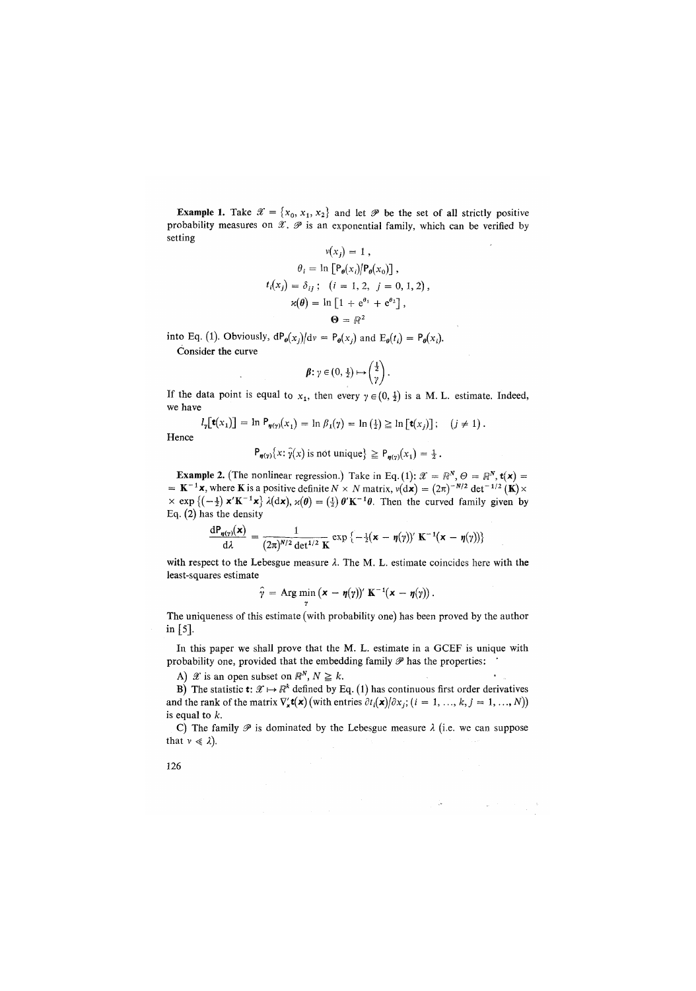**Example 1.** Take  $\mathcal{X} = \{x_0, x_1, x_2\}$  and let  $\mathcal{P}$  be the set of all strictly positive probability measures on  $\mathscr X$ .  $\mathscr P$  is an exponential family, which can be verified by setting

$$
v(x_j) = 1,
$$
  
\n
$$
\theta_i = \ln \left[ P_{\theta}(x_i) / P_{\theta}(x_0) \right],
$$
  
\n
$$
t_i(x_j) = \delta_{ij}; \quad (i = 1, 2, j = 0, 1, 2),
$$
  
\n
$$
\varkappa(\theta) = \ln \left[ 1 + e^{\theta_1} + e^{\theta_2} \right],
$$
  
\n
$$
\Theta = \mathbb{R}^2
$$

into Eq. (1). Obviously,  $dP_{\theta}(x_j)/dv = P_{\theta}(x_j)$  and  $E_{\theta}(t_i) = P_{\theta}(x_i)$ .

Consider the curve

$$
\beta\colon \gamma\in(0,\frac{1}{2})\mapsto\left(\frac{1}{\gamma}\right).
$$

If the data point is equal to  $x_1$ , then every  $\gamma \in (0, \frac{1}{2})$  is a M. L. estimate. Indeed, we have

 $l_{\gamma}[\mathbf{t}(x_1)] = \ln P_{\gamma(\gamma)}(x_1) = \ln \beta_1(\gamma) = \ln (\frac{1}{2}) \geq \ln [\mathbf{t}(x_i)]$ ; (j \net 1).

Hence

$$
P_{\eta(\gamma)}\{x: \hat{\gamma}(x) \text{ is not unique}\}\geq P_{\eta(\gamma)}(x_1)=\frac{1}{2}.
$$

**Example 2.** (The nonlinear regression.) Take in Eq. (1):  $\mathcal{X} = \mathbb{R}^N$ ,  $\Theta = \mathbb{R}^N$ ,  $\mathbf{t}(\mathbf{x}) =$  $= K^{-1}x$ , where K is a positive definite  $N \times N$  matrix,  $v(d\mathbf{x}) = (2\pi)^{-N/2} \det^{-1/2} (\mathbf{K}) \times$  $\times$  exp  $\{(-\frac{1}{2}) \mathbf{x}' \mathbf{K}^{-1} \mathbf{x}\}$   $\lambda(\mathrm{d}\mathbf{x})$ ,  $\varkappa(\theta) = (\frac{1}{2}) \theta' \mathbf{K}^{-1} \theta$ . Then the curved family given by Eq. (2) has the density

$$
\frac{d\mathbf{P}_{\mathbf{y}(\gamma)}(\mathbf{x})}{d\lambda} = \frac{1}{(2\pi)^{N/2} \det^{1/2} \mathbf{K}} \exp \left\{-\frac{1}{2}(\mathbf{x} - \mathbf{\eta}(\gamma))' \mathbf{K}^{-1}(\mathbf{x} - \mathbf{\eta}(\gamma))\right\}
$$

with respect to the Lebesgue measure  $\lambda$ . The M. L. estimate coincides here with the least-squares estimate

$$
\widehat{\gamma} = \operatorname{Arg} \min_{\gamma} (\mathbf{x} - \eta(\gamma))' \mathbf{K}^{-1}(\mathbf{x} - \eta(\gamma)).
$$

The uniqueness of this estimate (with probability one) has been proved by the author in [5].

In this paper we shall prove that the M. L. estimate in a GCEF is unique with probability one, provided that the embedding family  $\mathscr P$  has the properties:

A)  $\mathscr{X}$  is an open subset on  $\mathbb{R}^N$ ,  $N \geq k$ .

B) The statistic  $\mathbf{t}: \mathcal{X} \mapsto \mathbb{R}^k$  defined by Eq. (1) has continuous first order derivatives and the rank of the matrix  $\nabla'_x \mathbf{t}(\mathbf{x})$  (with entries  $\partial t_i(\mathbf{x})/\partial x_i$ ,  $(i = 1, ..., k, j = 1, ..., N)$ ) is equal to *k.* 

C) The family  $\mathscr P$  is dominated by the Lebesgue measure  $\lambda$  (i.e. we can suppose that  $v \ll \lambda$ ).

 $\langle \widetilde{\Phi}^{\mu\nu} \rangle_{\mu\nu} = -\frac{1}{2} \int_{\partial \Omega} \Phi_{\mu\nu} \Psi_{\nu\nu} \, d\mu$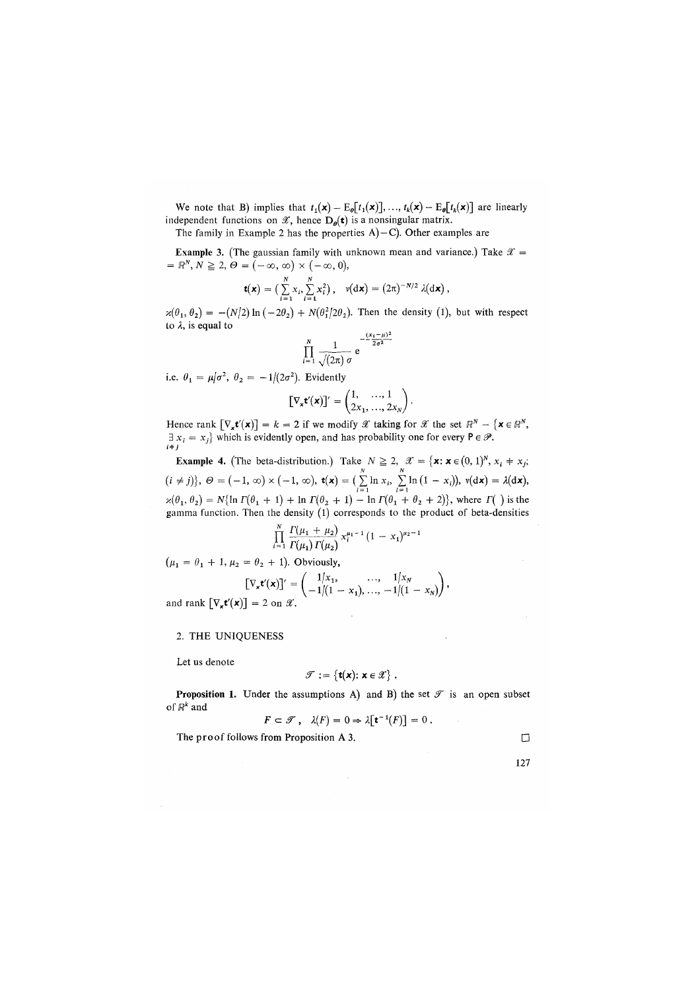We note that B) implies that  $t_1(\mathbf{x}) - \mathbb{E}_{\theta}[t_1(\mathbf{x})], \ldots, t_k(\mathbf{x}) - \mathbb{E}_{\theta}[t_k(\mathbf{x})]$  are linearly independent functions on  $\mathscr{X}$ , hence  $D_{\theta}(\mathbf{t})$  is a nonsingular matrix.

The family in Example 2 has the properties  $A$ ) $-C$ ). Other examples are

**Example 3.** (The gaussian family with unknown mean and variance.) Take  $\mathcal{X} =$  $= R^N, N \geq 2, \Theta = (-\infty, \infty) \times (-\infty, 0),$ 

$$
\mathbf{t}(\mathbf{x}) = \big(\sum_{i=1}^N x_i, \sum_{i=1}^N x_i^2\big), \quad \nu(\mathrm{d}\mathbf{x}) = (2\pi)^{-N/2} \lambda(\mathrm{d}\mathbf{x}),
$$

 $x(\theta_1, \theta_2) = -(N/2) \ln(-2\theta_2) + N(\theta_1^2/2\theta_2)$ . Then the density (1), but with respect to *X,* is equal to  $\frac{1}{2}$ 

$$
\prod_{i=1}^N \frac{1}{\sqrt{(2\pi)} \sigma} e^{-\frac{(x_i - \mu)}{2\sigma^2}}
$$

i.e.  $\theta_1 = \mu/\sigma^2$ ,  $\theta_2 = -1/(2\sigma^2)$ . Evidently

$$
[\nabla_{\mathbf{x}} \mathbf{t}'(\mathbf{x})]' = \begin{pmatrix} 1, & \dots, 1 \\ 2x_1, & \dots, 2x_N \end{pmatrix}.
$$

Hence rank  $[\nabla_x \mathbf{t}'(\mathbf{x})] = k = 2$  if we modify  $\mathscr X$  taking for  $\mathscr X$  the set  $\mathbb{R}^N - {\mathbf{x} \in \mathbb{R}^N}$ ,  $\exists x_i = x_j$  which is evidently open, and has probability one for every  $P \in \mathcal{P}$ .

**Example 4.** (The beta-distribution.) Take  $N \ge 2$ ,  $\mathscr{X} = {\mathbf{x} : \mathbf{x} \in (0, 1)^N, x_i \neq x_j;$  $(i \neq j)$ ,  $\Theta = (-1, \infty) \times (-1, \infty)$ ,  $\mathbf{t}(\mathbf{x}) = (\sum_{i=1}^{\infty} \ln x_i, \sum_{i=1}^{\infty} \ln (1 - x_i))$ ,  $v(\mathbf{dx}) = \lambda(\mathbf{dx})$ ,<br>  $\varkappa(\theta_1, \theta_2) = N\{\ln \Gamma(\theta_1 + 1) + \ln \Gamma(\theta_2 + 1) - \ln \Gamma(\theta_1 + \theta_2 + 2)\}$ , where  $\Gamma(\ )$  is the gamma function. Then the density (l) corresponds to the product of beta-densities

$$
\prod_{i=1}^N \frac{\Gamma(\mu_1 + \mu_2)}{\Gamma(\mu_1)\,\Gamma(\mu_2)}\,x_i^{\mu_1 - 1}\,(1 - x_1)^{\mu_2 - 1}
$$

 $(\mu_1 = \theta_1 + 1, \mu_2 = \theta_2 + 1)$ . Obviously,

$$
[\nabla_{\mathbf{x}} \mathbf{t}'(\mathbf{x})]' = \begin{pmatrix} 1/x_1, & \dots, & 1/x_N \\ -1/(1-x_1), & \dots, & -1/(1-x_N) \end{pmatrix},
$$

and rank  $[\nabla_{\mathbf{x}} \mathbf{t}'(\mathbf{x})] = 2$  on  $\mathcal{X}$ .

## 2. THE UNIQUENESS

Let us denote

$$
\mathscr{T} := \{ \mathbf{t}(\mathbf{x}) : \mathbf{x} \in \mathscr{X} \}.
$$

**Proposition 1.** Under the assumptions A) and B) the set  $\mathcal{T}$  is an open subset of *R<sup>k</sup>* and

$$
F \subset \mathscr{T}, \quad \lambda(F) = 0 \Rightarrow \lambda \lceil \mathbf{t}^{-1}(F) \rceil = 0.
$$

The proof follows from Proposition A 3.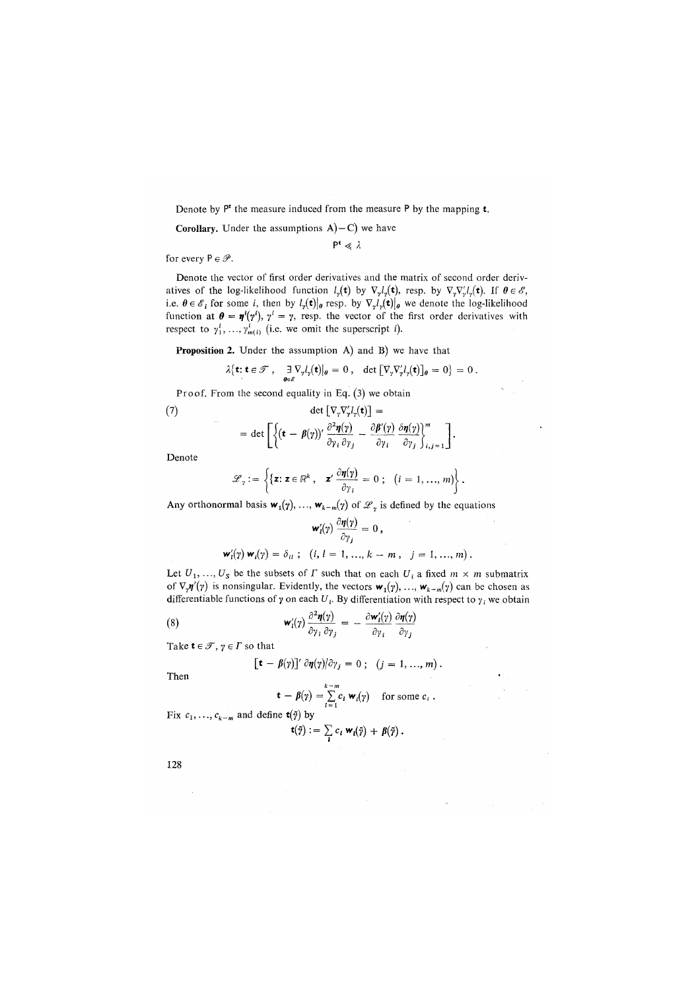Denote by P\* the measure induced from the measure P by the mapping **t.** 

**Corollary.** Under the assumptions  $A$ ) – C) we have

 $P^t \ll \lambda$ 

for every  $P \in \mathscr{P}$ .

Denote the vector of first order derivatives and the matrix of second order derivatives of the log-likelihood function  $l_{\gamma}(\mathbf{t})$  by  $\nabla_{\gamma}l_{\gamma}(\mathbf{t})$ , resp. by  $\nabla_{\gamma} \nabla_{\gamma}l_{\gamma}(\mathbf{t})$ . If  $\theta \in \mathscr{E}$ , i.e.  $\theta \in \mathscr{E}_i$  for some *i*, then by  $l_{\gamma}(\mathbf{t})|_{\theta}$  resp. by  $\nabla_{\gamma} l_{\gamma}(\mathbf{t})|_{\theta}$  we denote the log-likelihood function at  $\theta = \eta'(y')$ ,  $y' = y$ , resp. the vector of the first order derivatives with respect to  $\gamma_1^i$ , ...,  $\gamma_{m(i)}^i$  (i.e. we omit the superscript *i*).

**Proposition 2**. Under the assumption A) and B) we have that

$$
\lambda\{\mathbf{t}: \mathbf{t} \in \mathscr{T}, \quad \frac{\exists \nabla_y l_y(\mathbf{t})}{\theta \in \mathscr{E}}\big|_{\theta} = 0, \quad \det\big[\nabla_y \nabla'_y l_y(\mathbf{t})\big]_{\theta} = 0\} = 0.
$$

Proof. From the second equality in Eq. (3) we obtain

(7) 
$$
\det \left[ \nabla_{\mathbf{y}} \nabla'_{\mathbf{y}} l_{\mathbf{y}}(\mathbf{t}) \right] = \\ = \det \left[ \left\{ (\mathbf{t} - \beta(\mathbf{y}))' \frac{\partial^2 \eta(\mathbf{y})}{\partial \mathbf{y}_i \partial \mathbf{y}_j} - \frac{\partial \beta'(\mathbf{y})}{\partial \mathbf{y}_i} \frac{\delta \eta(\mathbf{y})}{\partial \mathbf{y}_j} \right\}_{i,j=1}^m \right].
$$

Denote

$$
\mathscr{L}_{\gamma} := \left\{ \{ \mathbf{z} : \mathbf{z} \in \mathbb{R}^{k} , \quad \mathbf{z}' \frac{\partial \eta(\gamma)}{\partial \gamma_{i}} = 0 \; ; \; \left( i = 1, ..., m \right) \right\}.
$$

Any orthonormal basis  $w_1(y), ..., w_{k-m}(y)$  of  $\mathcal{L}_\gamma$  is defined by the equations

$$
\mathbf{w}'_i(\gamma) \frac{\partial \boldsymbol{\eta}(\gamma)}{\partial \gamma_j} = 0,
$$
  

$$
\mathbf{w}'_i(\gamma) \mathbf{w}_i(\gamma) = \delta_{ii} ; (i, l = 1, ..., k - m, j = 1, ..., m).
$$

Let  $U_1, \ldots, U_s$  be the subsets of  $\Gamma$  such that on each  $U_i$  a fixed  $m \times m$  submatrix of  $\nabla_{\gamma} \eta'(\gamma)$  is nonsingular. Evidently, the vectors  $w_1(\gamma), ..., w_{k-m}(\gamma)$  can be chosen as differentiable functions of  $\gamma$  on each  $U_i$ . By differentiation with respect to  $\gamma_i$  we obtain

(8) 
$$
\mathbf{w}'_i(\gamma) \frac{\partial^2 \mathbf{\eta}(\gamma)}{\partial \gamma_i \partial \gamma_j} = -\frac{\partial \mathbf{w}'_i(\gamma)}{\partial \gamma_i} \frac{\partial \mathbf{\eta}(\gamma)}{\partial \gamma_j}
$$

Take  $t \in \mathcal{T}$ ,  $\gamma \in \Gamma$  so that

$$
[\mathbf{t} - \beta(\gamma)]' \partial \eta(\gamma) / \partial \gamma_j = 0; \quad (j = 1, ..., m).
$$

Then

$$
\mathbf{t} - \boldsymbol{\beta}(\gamma) = \sum_{l=1}^{k-m} c_l \mathbf{w}_l(\gamma) \quad \text{for some } c_i.
$$

Fix  $c_1, \ldots, c_{k-m}$  and define  $\mathbf{t}(\tilde{\gamma})$  by

$$
\mathbf{t}(\tilde{\gamma}) := \sum_{\mathbf{i}} c_{\mathbf{i}} \mathbf{w}_{\mathbf{i}}(\tilde{\gamma}) + \beta(\tilde{\gamma}).
$$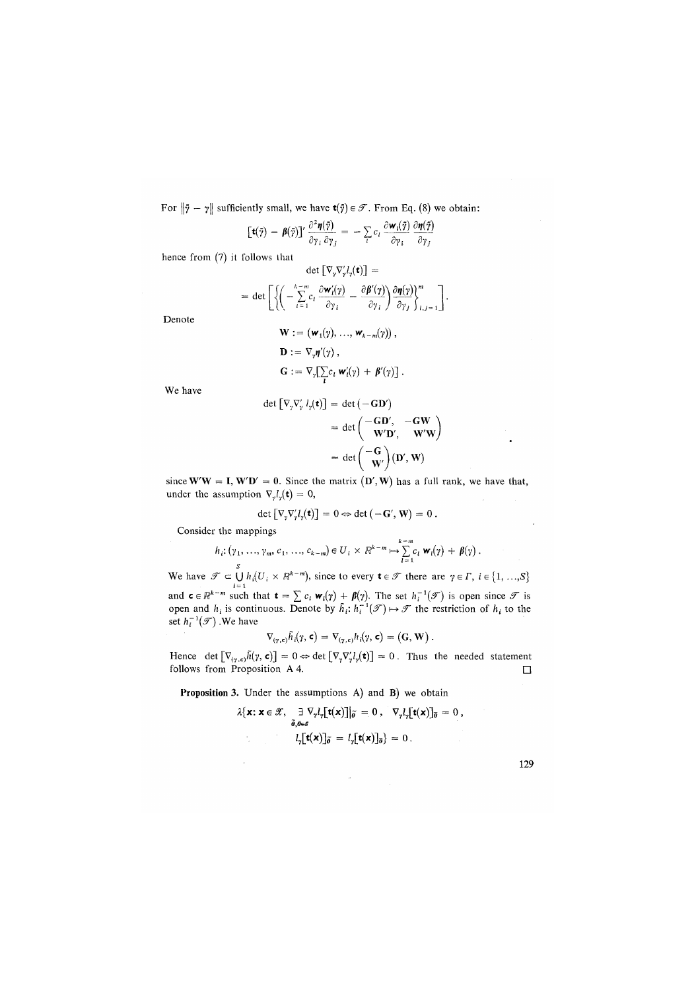For  $\|\tilde{\gamma} - \gamma\|$  sufficiently small, we have  $\mathbf{t}(\tilde{\gamma}) \in \mathcal{T}$ . From Eq. (8) we obtain:

$$
\left[\mathbf{t}(\tilde{\mathbf{y}}) - \boldsymbol{\beta}(\tilde{\mathbf{y}})\right]'\frac{\partial^2 \boldsymbol{\eta}(\tilde{\mathbf{y}})}{\partial \gamma_i \partial \gamma_j} = -\sum_i c_i \frac{\partial \mathbf{w}_i(\tilde{\mathbf{y}})}{\partial \gamma_i} \frac{\partial \boldsymbol{\eta}(\tilde{\mathbf{y}})}{\partial \gamma_j}
$$

hence from (7) it follows that

$$
\det \left[ \nabla_{\gamma} \nabla'_{\gamma} l_{\gamma}(\mathbf{t}) \right] =
$$
  
= det 
$$
\left[ \left\{ \left( -\sum_{i=1}^{k-m} c_i \frac{\partial \mathbf{w}'_i(\gamma)}{\partial \gamma_i} - \frac{\partial \beta'(\gamma)}{\partial \gamma_i} \right) \frac{\partial \eta(\gamma)}{\partial \gamma_j} \right\}_{i,j=1}^m \right].
$$

Denote

$$
\mathbf{W} := (\mathbf{w}_1(\gamma), ..., \mathbf{w}_{k-m}(\gamma)),
$$
  
\n
$$
\mathbf{D} := \nabla_{\gamma} \mathbf{\eta}'(\gamma),
$$
  
\n
$$
\mathbf{G} := \nabla_{\gamma} \left[ \sum_{i} c_i \mathbf{w}'_i(\gamma) + \beta'(\gamma) \right].
$$

We have

$$
\det \begin{bmatrix} \nabla_{\gamma} \nabla'_{\gamma} l_{\gamma}(\mathbf{t}) \end{bmatrix} = \det \begin{pmatrix} -\mathbf{G} \mathbf{D}' \\ \nabla' \mathbf{D}'_{\gamma} & -\mathbf{G} \mathbf{W} \\ \nabla' \mathbf{D}'_{\gamma} & \mathbf{W}' \mathbf{W} \end{pmatrix}
$$

$$
= \det \begin{pmatrix} -\mathbf{G} \\ \nabla \mathbf{W}' \end{pmatrix} (\mathbf{D}', \mathbf{W})
$$

since  $W'W = I$ ,  $W'D' = 0$ . Since the matrix  $(D', W)$  has a full rank, we have that, under the assumption  $\nabla_{\gamma} l_{\gamma}(\mathbf{t}) = 0$ ,

$$
\det \left[ \nabla_{\gamma} \nabla'_{\gamma} l_{\gamma}(\mathbf{t}) \right] = 0 \Leftrightarrow \det \left( -\mathbf{G}', \mathbf{W} \right) = 0 \, .
$$

Consider the mappings

$$
h_i\colon (\gamma_1,\ldots,\gamma_m,\,c_1,\ldots,\,c_{k-m})\in U_i\times\mathbb{R}^{k-m}\mapsto\sum_{l=1}^{k-m}c_l\,\mathbf{w}_l(\gamma)\,+\,\beta(\gamma)\;.
$$

We have  $\mathcal{T} \subset \bigcup_{k=1}^{S} h_k(U_i \times \mathbb{R}^{k-m})$ , since to every  $\mathbf{t} \in \mathcal{T}$  there are  $\gamma \in \Gamma$ ,  $i \in \{1, ..., S\}$ and  $\mathbf{c} \in \mathbb{R}^{k-m}$  such that  $\mathbf{t} = \sum c_i \mathbf{w}_i(\gamma) + \beta(\gamma)$ . The set  $h_i^{-1}(\mathcal{F})$  is open since  $\mathcal F$  is open and  $h_i$  is continuous. Denote by  $\tilde{h}_i$ ;  $h_i^{-1}(\mathcal{F}) \mapsto \mathcal F$  the restriction of  $h_i$  to the set  $h_i^{-1}(\mathscr{T})$ . We have

$$
\nabla_{(\gamma,\mathbf{c})} \tilde{h}_i(\gamma,\mathbf{c}) = \nabla_{(\gamma,\mathbf{c})} h_i(\gamma,\mathbf{c}) = (\mathbf{G}, \mathbf{W}).
$$

Hence det  $[\nabla_{(r,\epsilon)}\tilde{h}(\gamma,\epsilon)] = 0 \Leftrightarrow \det [\nabla_{\gamma}\nabla'_{r}l_{\gamma}(\epsilon)] = 0$ . Thus the needed statement follows from Proposition A 4.  $\Box$ 

Proposition 3. Under the assumptions A) and B) we obtain

$$
\lambda\{\mathbf{x} : \mathbf{x} \in \mathcal{X}, \quad \exists \nabla_y l_y[\mathbf{t}(\mathbf{x})] | \tilde{\mathbf{p}} = 0, \quad \nabla_y l_y[\mathbf{t}(\mathbf{x})]_{\tilde{\mathbf{p}}} = 0, \n l_y[\mathbf{t}(\mathbf{x})]_{\tilde{\mathbf{p}}} = l_y[\mathbf{t}(\mathbf{x})]_{\tilde{\mathbf{p}}} = 0.
$$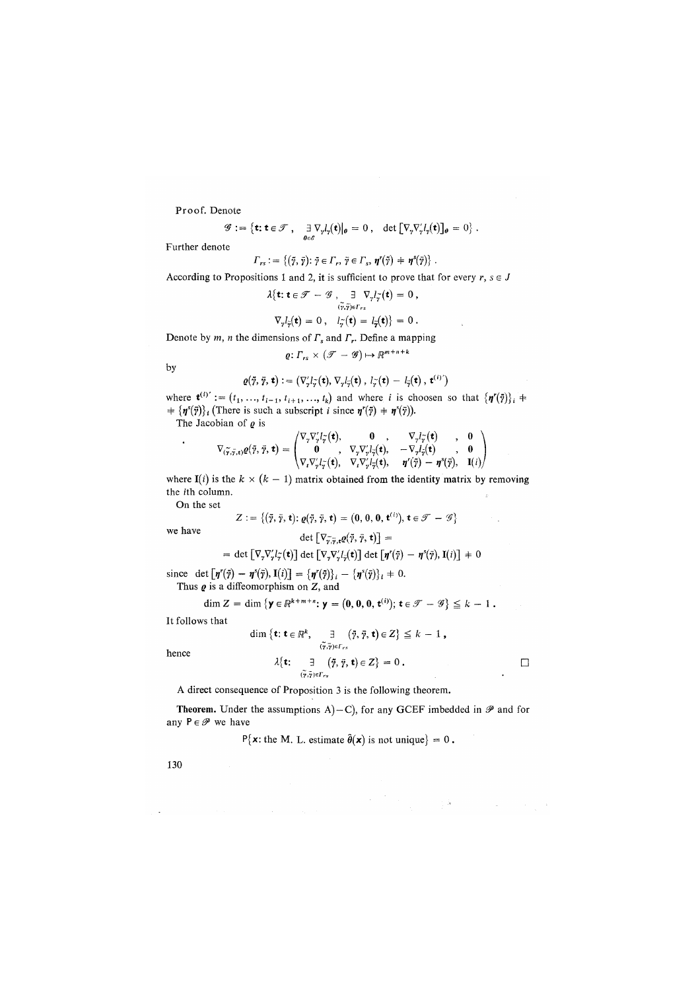**Proof**. Denote

$$
\mathscr{G} := \{ \mathbf{t} : \mathbf{t} \in \mathscr{T}, \quad \exists \nabla_{\gamma} l_{\gamma}(\mathbf{t}) |_{\theta} = 0, \quad \det \left[ \nabla_{\gamma} \nabla'_{\gamma} l_{\gamma}(\mathbf{t}) \right]_{\theta} = 0 \}.
$$

Further denote

$$
\Gamma_{rs} := \{(\tilde{\gamma}, \tilde{\gamma}); \tilde{\gamma} \in \Gamma_r, \tilde{\gamma} \in \Gamma_s, \eta^r(\tilde{\gamma}) + \eta^s(\tilde{\gamma})\}.
$$

According to Propositions 1 and 2, it is sufficient to prove that for every  $r, s \in J$ 

$$
\lambda\{\mathbf{t}; \mathbf{t} \in \mathscr{T} - \mathscr{G}, \quad \exists \nabla_{\gamma} l_{\gamma}(\mathbf{t}) = 0, \n\langle \tilde{\gamma}, \tilde{\gamma} \rangle e \Gamma_{rs} \n\nabla_{\gamma} l_{\gamma}(\mathbf{t}) = 0, \quad l_{\gamma}(\mathbf{t}) = l_{\gamma}(\mathbf{t}) \} = 0.
$$

Denote by *m, n* the dimensions of *T*<sup>s</sup> and *T*<sup>r</sup> . Define a mapping

$$
\varrho\colon\varGamma_{rs}\times(\mathscr{T}-\mathscr{G})\mapsto\mathbb{R}^{m+n+k}
$$

by

$$
\varrho(\tilde{\gamma},\bar{\gamma},\mathbf{t}) := \left(\nabla'_{\gamma}l_{\tilde{\gamma}}(\mathbf{t}),\nabla_{\gamma}l_{\tilde{\gamma}}(\mathbf{t}),\,l_{\tilde{\gamma}}(\mathbf{t}) - l_{\tilde{\gamma}}(\mathbf{t}),\,\mathbf{t}^{(i)}\right)
$$

where  $\mathbf{t}^{(i)} := (t_1, ..., t_{i-1}, t_{i+1}, ..., t_k)$  and where *i* is choosen so that  $\{\boldsymbol{\eta}^r(\tilde{\boldsymbol{\eta}})\}_i$  +  $\{ \eta^s(\bar{y}) \}_i$  (There is such a subscript *i* since  $\eta^r(\tilde{y}) + \eta^s(\tilde{y})$ ).

The Jacobian of  $\varrho$  is

$$
\nabla_{(\widetilde{\pmb{\gamma}},\widetilde{\pmb{\gamma}},\mathbf{t})} \varrho(\widetilde{\pmb{\gamma}},\widetilde{\pmb{\gamma}},\mathbf{t}) = \begin{pmatrix} \nabla_{\gamma} \nabla'_{\gamma} l_{\widetilde{\pmb{\gamma}}}(\mathbf{t}), & \mathbf{0} & , & \nabla_{\gamma} l_{\widetilde{\pmb{\gamma}}}(\mathbf{t}) & , & \mathbf{0} \\ \mathbf{0} & , & \nabla_{\gamma} \nabla'_{\gamma} l_{\widetilde{\pmb{\gamma}}}(\mathbf{t}), & -\nabla_{\gamma} l_{\widetilde{\pmb{\gamma}}}(\mathbf{t}) & , & \mathbf{0} \\ \nabla_{\Gamma} \nabla'_{\gamma} l_{\widetilde{\pmb{\gamma}}}(\mathbf{t}), & \nabla_{\Gamma} \nabla'_{\gamma} l_{\widetilde{\pmb{\gamma}}}(\mathbf{t}), & & \pmb{\eta}^*(\widetilde{\pmb{\gamma}}) - \pmb{\eta}^*(\widetilde{\pmb{\gamma}}), & \mathbf{I}(i) \end{pmatrix}
$$

where  $I(i)$  is the  $k \times (k-1)$  matrix obtained from the identity matrix by removing the ith column.

On the set

$$
Z := \{(\tilde{\gamma}, \tilde{\gamma}, \mathbf{t}); \varrho(\tilde{\gamma}, \tilde{\gamma}, \mathbf{t}) = (\mathbf{0}, \mathbf{0}, \mathbf{0}, \mathbf{t}^{(i)}), \mathbf{t} \in \mathscr{T} - \mathscr{G}\}
$$

we have  $\overline{a}$  ,  $\overline{b}$  ,  $\overline{c}$  ,  $\overline{a}$  ,  $\overline{a}$ 

 $\cdot$ 

$$
\det\left[V_{\gamma,\gamma,\ell}(\gamma,\gamma,\tau)\right] =
$$
\n
$$
= \det\left[V_{\gamma}\nabla'_{\gamma}l_{\gamma}(\tau)\right] \det\left[V_{\gamma}\nabla'_{\gamma}l_{\gamma}(\tau)\right] \det\left[\eta'(\tilde{\gamma}) - \eta^{s}(\tilde{\gamma}), \mathbf{I}(i)\right] \neq 0
$$

since det  $[\boldsymbol{\eta}^r(\tilde{\boldsymbol{\eta}}) - \boldsymbol{\eta}^s(\tilde{\boldsymbol{\eta}}), \mathbf{I}(i)] = {\{\boldsymbol{\eta}^r(\tilde{\boldsymbol{\eta}})}_i - {\{\boldsymbol{\eta}^s(\tilde{\boldsymbol{\eta}})}_i + 0.$ Thus  $\rho$  is a diffeomorphism on  $Z$ , and

$$
\dim Z = \dim \left\{ \mathbf{y} \in \mathbb{R}^{k+m+n} \colon \mathbf{y} = (0,0,0,\mathbf{t}^{(i)}); \, \mathbf{t} \in \mathcal{T} - \mathcal{G} \right\} \leq k-1 \, .
$$

It follows that

$$
\dim \{\mathbf{t}: \mathbf{t} \in \mathbb{R}^k, \quad \exists \quad (\tilde{\gamma}, \bar{\gamma}, \mathbf{t}) \in Z\} \leq k-1,
$$
  

$$
\widetilde{(\gamma, \bar{\gamma})} \in \Gamma_{rs}
$$

hence

$$
\lambda \{\mathbf{t}: \quad \exists \quad (\tilde{\gamma}, \tilde{\gamma}, \mathbf{t}) \in Z\} = 0 . \qquad \qquad \Box
$$

 $\bar{\mathcal{A}}$ 

 $\label{eq:2.1} \mathcal{L}^{\mathcal{A}}_{\mathcal{A}}(\mathcal{A})=\frac{1}{2}\mathcal{A}^{\mathcal{A}}_{\mathcal{A}}(\mathcal{A})\mathcal{A}^{\mathcal{A}}_{\mathcal{A}}(\mathcal{A})=\frac{1}{2}\mathcal{L}^{\mathcal{A}}_{\mathcal{A}}(\mathcal{A})\mathcal{A}^{\mathcal{A}}_{\mathcal{A}}(\mathcal{A})\mathcal{A}^{\mathcal{A}}_{\mathcal{A}}(\mathcal{A})\mathcal{A}^{\mathcal{A}}_{\mathcal{A}}(\mathcal{A})\mathcal{A}^{\mathcal{A}}_{\mathcal$ 

A direct consequence of Proposition 3 is the following theorem.

**Theorem.** Under the assumptions  $A$ ) - C), for any GCEF imbedded in  $\mathcal{P}$  and for any  $P \in \mathcal{P}$  we have

 $P\{x: \text{the } M. \text{ L. estimate } \hat{\theta}(x) \text{ is not unique} \} = 0.$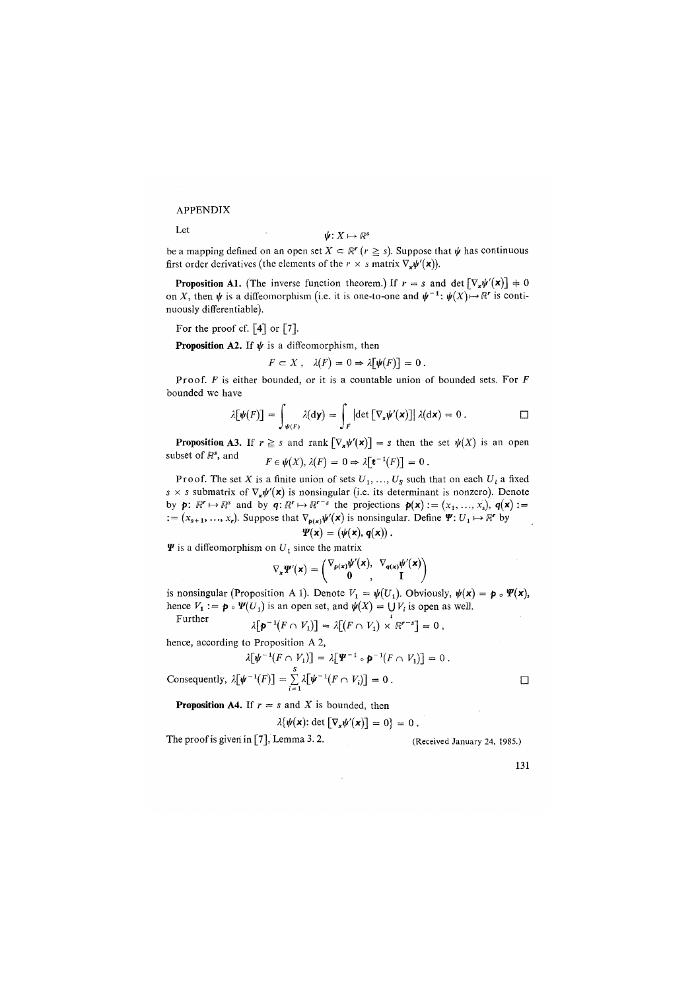APPENDIX

Let

 $\psi: X \mapsto \mathbb{R}^s$ 

be a mapping defined on an open set  $X \subset \mathbb{R}^r$   $(r \geqq s)$ . Suppose that  $\psi$  has continuous first order derivatives (the elements of the  $r \times s$  matrix  $\nabla_x \psi'(\mathbf{x})$ ).

**Proposition A1.** (The inverse function theorem.) If  $r = s$  and det  $[\nabla_x \psi'(\mathbf{x})] \neq 0$ on X, then  $\psi$  is a diffeomorphism (i.e. it is one-to-one and  $\psi^{-1}$ :  $\psi(X) \mapsto \mathbb{R}^r$  is continuously differentiable).

For the proof of 
$$
[4]
$$
 or  $[7]$ .

**Proposition A2.** If  $\psi$  is a diffeomorphism, then

$$
F \subset X \ , \quad \lambda(F) = 0 \Rightarrow \lambda \big[ \psi(F) \big] = 0 \ .
$$

Proof. *E* is either bounded, or it is a countable union of bounded sets. For *E*  bounded we have

$$
\lambda[\psi(F)] = \int_{\psi(F)} \lambda(\mathrm{d}\mathbf{y}) = \int_F \left| \det \left[ \nabla_{\mathbf{x}} \psi'(\mathbf{x}) \right] \right| \lambda(\mathrm{d}\mathbf{x}) = 0 \, . \qquad \Box
$$

**Proposition A3.** If  $r \geq s$  and rank  $[\nabla_x \psi'(\mathbf{x})] = s$  then the set  $\psi(X)$  is an open subset of  $\mathbb{R}^s$ , and  $F \in \mathcal{H}(Y)$ ,  $\mathcal{I}(F) = 0 \rightarrow 2\mathbb{F} \cdot 1(F)$ 

$$
F\in \psi(X), \, \lambda(F)=0 \Rightarrow \lambda[\mathbf{t} \quad (F)] = 0 \, .
$$

Proof. The set X is a finite union of sets  $U_1, \ldots, U_s$  such that on each  $U_i$  a fixed s x s submatrix of  $\nabla_{\mathbf{x}}\psi'(\mathbf{x})$  is nonsingular (i.e. its determinant is nonzero). Denote by  $p: \mathbb{R}^r \mapsto \mathbb{R}^s$  and by  $q: \mathbb{R}^r \mapsto \mathbb{R}^{r-s}$  the projections  $p(x) := (x_1, \ldots, x_s), q(x) :=$  $\mathbf{z} = (x_{s+1}, ..., x_r)$ . Suppose that  $\nabla_{\mathbf{p}(\mathbf{x})}\psi'(\mathbf{x})$  is nonsingular. Define  $\Psi: U_1 \mapsto \mathbb{R}^r$  by  $\Psi(\mathbf{x}) = (\psi(\mathbf{x}), \mathbf{q}(\mathbf{x})).$ 

$$
I(\mathbf{A})=(\mathbf{\Psi}(\mathbf{A}),\mathbf{\Psi})
$$

 $\Psi$  is a diffeomorphism on  $U_1$  since the matrix

$$
\nabla_{\mathbf{x}}\Psi'(\mathbf{x})=\begin{pmatrix}\nabla_{\rho(\mathbf{x})}\psi'(\mathbf{x}),&\nabla_{\mathbf{q}(\mathbf{x})}\psi'(\mathbf{x})\\0&I\end{pmatrix}
$$

is nonsingular (Proposition A 1). Denote  $V_1 = \psi(U_1)$ . Obviously,  $\psi(\mathbf{x}) = \mathbf{p} \cdot \Psi(\mathbf{x})$ , hence  $V_1 := \mathbf{p} \circ \Psi(U_1)$  is an open set, and  $\psi(X) = \bigcup V_i$  is open as well. Furth

$$
\lambda[\mathbf{p}^{-1}(F \cap V_1)] = \lambda[(F \cap V_1) \times \mathbb{R}^{r-s}] = 0,
$$

hence, according to Proposition A 2,

$$
\lambda \left[ \psi^{-1}(F \cap V_1) \right] = \lambda \left[ \Psi^{-1} \circ \mathbf{p}^{-1}(F \cap V_1) \right] = 0
$$

 $\lambda[\Psi^{-1}(F \cap V_1)] = \lambda[\Psi^{-1} \circ \mathbf{P}^{-1}(F \cap V_1)] = 0.$ <br>
Consequently,  $\lambda[\Psi^{-1}(F)] = \sum_{i=1}^{S} \lambda[\Psi^{-1}(F \cap V_i)] = 0.$ 

**Proposition A4.** If  $r = s$  and X is bounded, then

$$
\lambda\{\psi(\mathbf{x}) : \det\left[\nabla_{\mathbf{x}}\psi'(\mathbf{x})\right] = 0\} = 0
$$

The proof is given in [7], Lemma 3. 2. (Received January 24, 1985.)